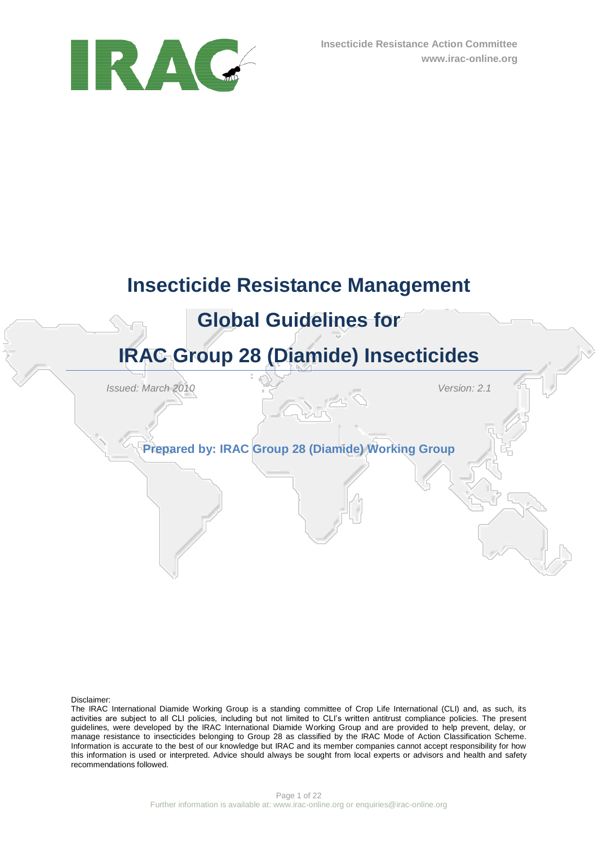

# **Insecticide Resistance Management Global Guidelines for IRAC Group 28 (Diamide) Insecticides**

*Issued: March 2010 Version: 2.1*

**Prepared by: IRAC Group 28 (Diamide) Working Group**

Disclaimer:

The IRAC International Diamide Working Group is a standing committee of Crop Life International (CLI) and, as such, its activities are subject to all CLI policies, including but not limited to CLI"s written antitrust compliance policies. The present guidelines, were developed by the IRAC International Diamide Working Group and are provided to help prevent, delay, or manage resistance to insecticides belonging to Group 28 as classified by the IRAC Mode of Action Classification Scheme. Information is accurate to the best of our knowledge but IRAC and its member companies cannot accept responsibility for how this information is used or interpreted. Advice should always be sought from local experts or advisors and health and safety recommendations followed.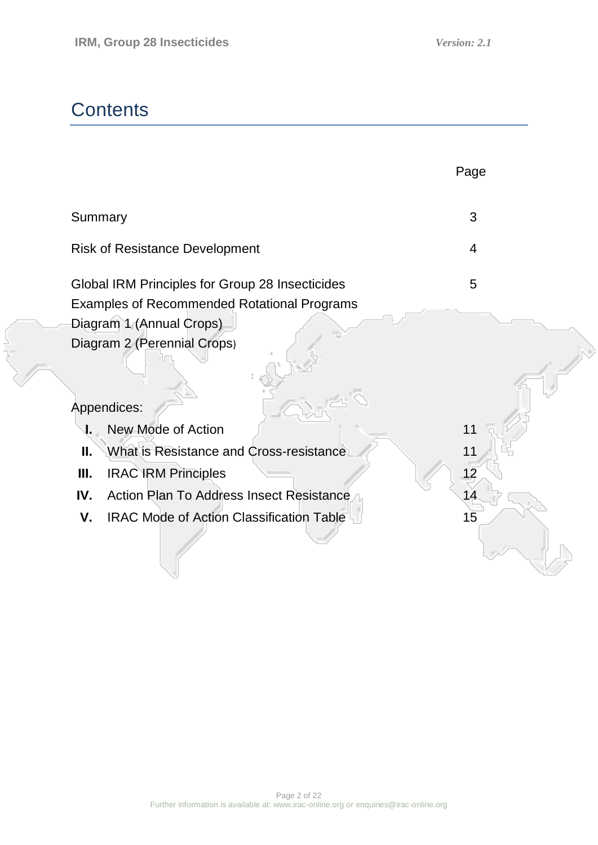k.

## **Contents**

|                                                        | Page           |
|--------------------------------------------------------|----------------|
| Summary                                                | 3              |
| <b>Risk of Resistance Development</b>                  | $\overline{4}$ |
| Global IRM Principles for Group 28 Insecticides        | 5              |
| <b>Examples of Recommended Rotational Programs</b>     |                |
| Diagram 1 (Annual Crops)                               |                |
| Diagram 2 (Perennial Crops)                            |                |
| Appendices:                                            |                |
| New Mode of Action                                     | 11             |
| П.<br>What is Resistance and Cross-resistance          |                |
| Ш.<br><b>IRAC IRM Principles</b>                       |                |
| IV.<br><b>Action Plan To Address Insect Resistance</b> |                |
| <b>IRAC Mode of Action Classification Table</b><br>V.  | 15             |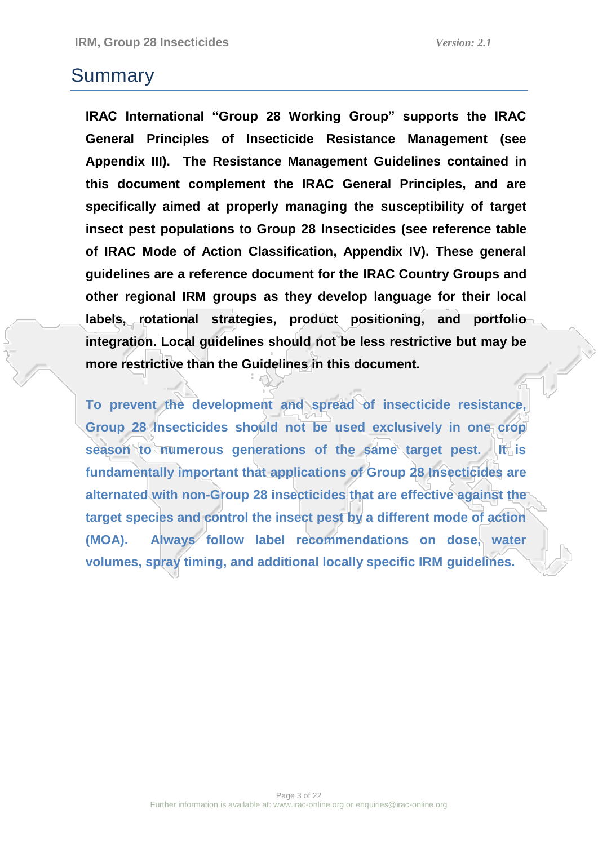## Summary

**IRAC International "Group 28 Working Group" supports the IRAC General Principles of Insecticide Resistance Management (see Appendix III). The Resistance Management Guidelines contained in this document complement the IRAC General Principles, and are specifically aimed at properly managing the susceptibility of target insect pest populations to Group 28 Insecticides (see reference table of IRAC Mode of Action Classification, Appendix IV). These general guidelines are a reference document for the IRAC Country Groups and other regional IRM groups as they develop language for their local labels, rotational strategies, product positioning, and portfolio integration. Local guidelines should not be less restrictive but may be more restrictive than the Guidelines in this document.**

**To prevent the development and spread of insecticide resistance, Group 28 Insecticides should not be used exclusively in one crop season to numerous generations of the same target pest. It is fundamentally important that applications of Group 28 Insecticides are alternated with non-Group 28 insecticides that are effective against the target species and control the insect pest by a different mode of action (MOA). Always follow label recommendations on dose, water volumes, spray timing, and additional locally specific IRM guidelines.**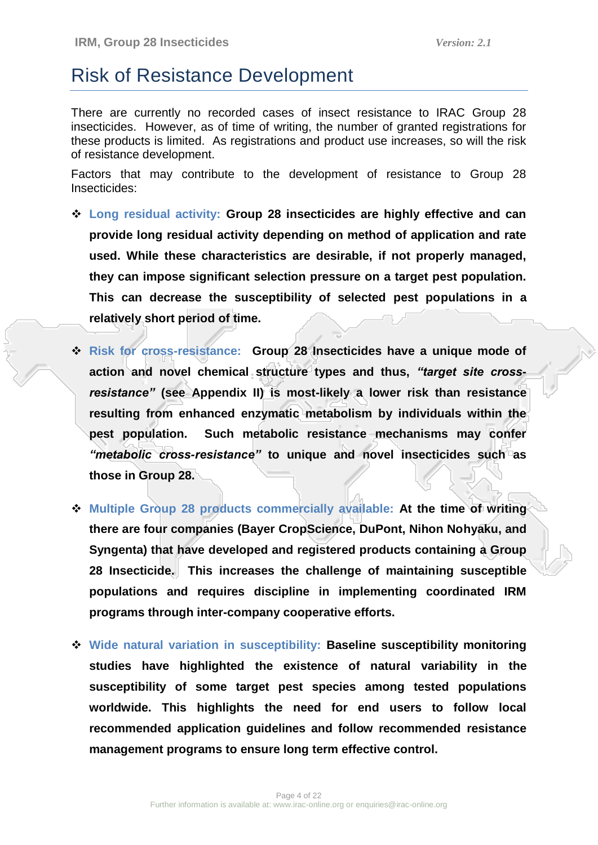## Risk of Resistance Development

There are currently no recorded cases of insect resistance to IRAC Group 28 insecticides. However, as of time of writing, the number of granted registrations for these products is limited. As registrations and product use increases, so will the risk of resistance development.

Factors that may contribute to the development of resistance to Group 28 Insecticides:

- **Long residual activity: Group 28 insecticides are highly effective and can provide long residual activity depending on method of application and rate used. While these characteristics are desirable, if not properly managed, they can impose significant selection pressure on a target pest population. This can decrease the susceptibility of selected pest populations in a relatively short period of time.**
- **Risk for cross-resistance: Group 28 Insecticides have a unique mode of action and novel chemical structure types and thus,** *"target site crossresistance"* **(see Appendix II) is most-likely a lower risk than resistance resulting from enhanced enzymatic metabolism by individuals within the pest population. Such metabolic resistance mechanisms may confer**  *"metabolic cross-resistance"* **to unique and novel insecticides such as those in Group 28.**
- **Multiple Group 28 products commercially available: At the time of writing there are four companies (Bayer CropScience, DuPont, Nihon Nohyaku, and Syngenta) that have developed and registered products containing a Group 28 Insecticide. This increases the challenge of maintaining susceptible populations and requires discipline in implementing coordinated IRM programs through inter-company cooperative efforts.**
- **Wide natural variation in susceptibility: Baseline susceptibility monitoring studies have highlighted the existence of natural variability in the susceptibility of some target pest species among tested populations worldwide. This highlights the need for end users to follow local recommended application guidelines and follow recommended resistance management programs to ensure long term effective control.**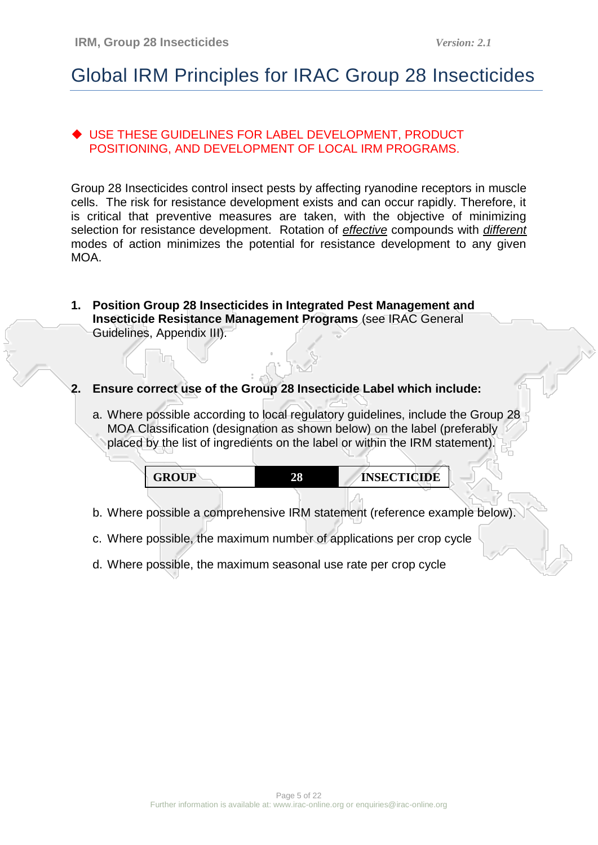## Global IRM Principles for IRAC Group 28 Insecticides

### USE THESE GUIDELINES FOR LABEL DEVELOPMENT, PRODUCT POSITIONING, AND DEVELOPMENT OF LOCAL IRM PROGRAMS.

Group 28 Insecticides control insect pests by affecting ryanodine receptors in muscle cells. The risk for resistance development exists and can occur rapidly. Therefore, it is critical that preventive measures are taken, with the objective of minimizing selection for resistance development. Rotation of *effective* compounds with *different* modes of action minimizes the potential for resistance development to any given MOA.

**1. Position Group 28 Insecticides in Integrated Pest Management and Insecticide Resistance Management Programs** (see IRAC General Guidelines, Appendix III).

### **2. Ensure correct use of the Group 28 Insecticide Label which include:**

a. Where possible according to local regulatory guidelines, include the Group 28 MOA Classification (designation as shown below) on the label (preferably placed by the list of ingredients on the label or within the IRM statement).

| DAI™D<br>A DI L<br>t÷Rr<br>---- | 28 | <b>ECTICIDE</b><br>INCI |  |
|---------------------------------|----|-------------------------|--|
|---------------------------------|----|-------------------------|--|

- b. Where possible a comprehensive IRM statement (reference example below).
- c. Where possible, the maximum number of applications per crop cycle
- d. Where possible, the maximum seasonal use rate per crop cycle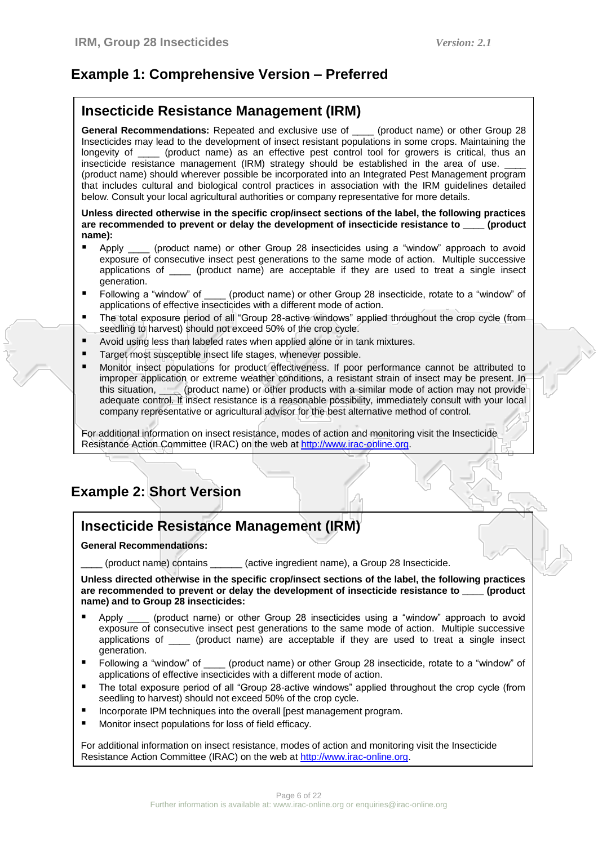## **Example 1: Comprehensive Version – Preferred**

### **Insecticide Resistance Management (IRM)**

**General Recommendations:** Repeated and exclusive use of \_\_\_\_ (product name) or other Group 28 Insecticides may lead to the development of insect resistant populations in some crops. Maintaining the longevity of (product name) as an effective pest control tool for growers is critical, thus an Loungeviet of  $\alpha$  product name) as an effective pest control tool for growers is critical, thus an insecticide resistance management (IRM) strategy should be established in the area of use. (product name) should wherever possible be incorporated into an Integrated Pest Management program that includes cultural and biological control practices in association with the IRM guidelines detailed below. Consult your local agricultural authorities or company representative for more details.

#### **Unless directed otherwise in the specific crop/insect sections of the label, the following practices are recommended to prevent or delay the development of insecticide resistance to \_\_\_\_ (product name):**

- Apply (product name) or other Group 28 insecticides using a "window" approach to avoid exposure of consecutive insect pest generations to the same mode of action. Multiple successive applications of \_\_\_\_ (product name) are acceptable if they are used to treat a single insect generation.
- Following a "window" of correlation (product name) or other Group 28 insecticide, rotate to a "window" of applications of effective insecticides with a different mode of action.
- The total exposure period of all "Group 28-active windows" applied throughout the crop cycle (from seedling to harvest) should not exceed 50% of the crop cycle.
- Avoid using less than labeled rates when applied alone or in tank mixtures.
- Target most susceptible insect life stages, whenever possible.
- Monitor insect populations for product effectiveness. If poor performance cannot be attributed to improper application or extreme weather conditions, a resistant strain of insect may be present. In this situation, **example 2** (product name) or other products with a similar mode of action may not provide adequate control. If insect resistance is a reasonable possibility, immediately consult with your local company representative or agricultural advisor for the best alternative method of control.

For additional information on insect resistance, modes of action and monitoring visit the Insecticide Resistance Action Committee (IRAC) on the web a[t http://www.irac-online.org.](http://www.irac-online.org/)

## **Example 2: Short Version**

### **Insecticide Resistance Management (IRM)**

**General Recommendations:** 

(product name) contains \_\_\_\_\_\_ (active ingredient name), a Group 28 Insecticide.

**Unless directed otherwise in the specific crop/insect sections of the label, the following practices**  are recommended to prevent or delay the development of insecticide resistance to *commended* to product **name) and to Group 28 insecticides:**

- Apply \_\_\_\_ (product name) or other Group 28 insecticides using a "window" approach to avoid exposure of consecutive insect pest generations to the same mode of action. Multiple successive applications of \_\_\_\_ (product name) are acceptable if they are used to treat a single insect generation.
- Following a "window" of croduct name) or other Group 28 insecticide, rotate to a "window" of applications of effective insecticides with a different mode of action.
- The total exposure period of all "Group 28-active windows" applied throughout the crop cycle (from seedling to harvest) should not exceed 50% of the crop cycle.
- Incorporate IPM techniques into the overall [pest management program.
- **Monitor insect populations for loss of field efficacy.**

For additional information on insect resistance, modes of action and monitoring visit the Insecticide Resistance Action Committee (IRAC) on the web at [http://www.irac-online.org.](http://www.irac-online.org/)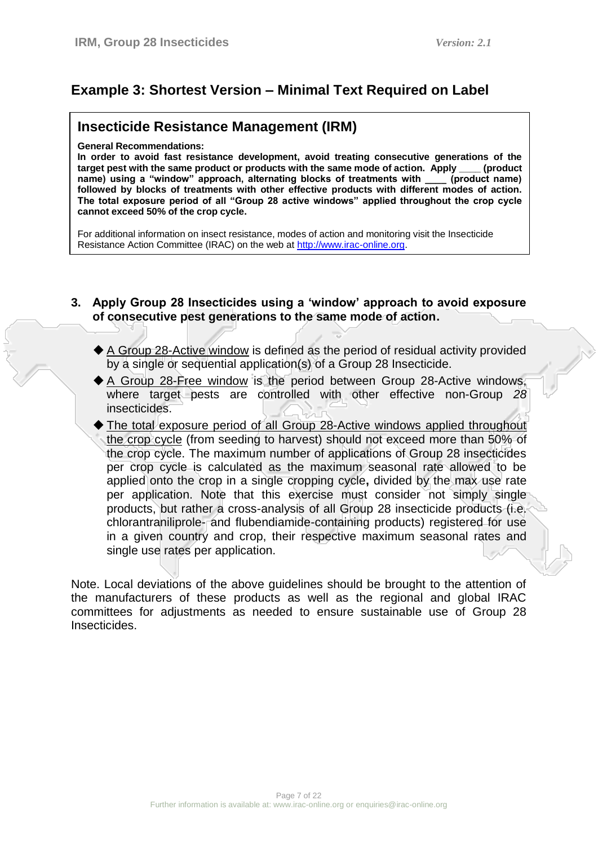## **Example 3: Shortest Version – Minimal Text Required on Label**

### **Insecticide Resistance Management (IRM)**

**General Recommendations:** 

**In order to avoid fast resistance development, avoid treating consecutive generations of the**  target pest with the same product or products with the same mode of action. Apply \_\_ **name) using a "window" approach, alternating blocks of treatments with \_\_\_\_ (product name) followed by blocks of treatments with other effective products with different modes of action. The total exposure period of all "Group 28 active windows" applied throughout the crop cycle cannot exceed 50% of the crop cycle.** 

For additional information on insect resistance, modes of action and monitoring visit the Insecticide Resistance Action Committee (IRAC) on the web a[t http://www.irac-online.org.](http://www.irac-online.org/)

#### **3. Apply Group 28 Insecticides using a "window" approach to avoid exposure of consecutive pest generations to the same mode of action.**

- ◆ A Group 28-Active window is defined as the period of residual activity provided by a single or sequential application(s) of a Group 28 Insecticide.
- A Group 28-Free window is the period between Group 28-Active windows, where target pests are controlled with other effective non-Group *28* insecticides.
- The total exposure period of all Group 28-Active windows applied throughout the crop cycle (from seeding to harvest) should not exceed more than 50% of the crop cycle. The maximum number of applications of Group 28 insecticides per crop cycle is calculated as the maximum seasonal rate allowed to be applied onto the crop in a single cropping cycle**,** divided by the max use rate per application. Note that this exercise must consider not simply single products, but rather a cross-analysis of all Group 28 insecticide products (i.e. chlorantraniliprole- and flubendiamide-containing products) registered for use in a given country and crop, their respective maximum seasonal rates and single use rates per application.

Note. Local deviations of the above guidelines should be brought to the attention of the manufacturers of these products as well as the regional and global IRAC committees for adjustments as needed to ensure sustainable use of Group 28 Insecticides.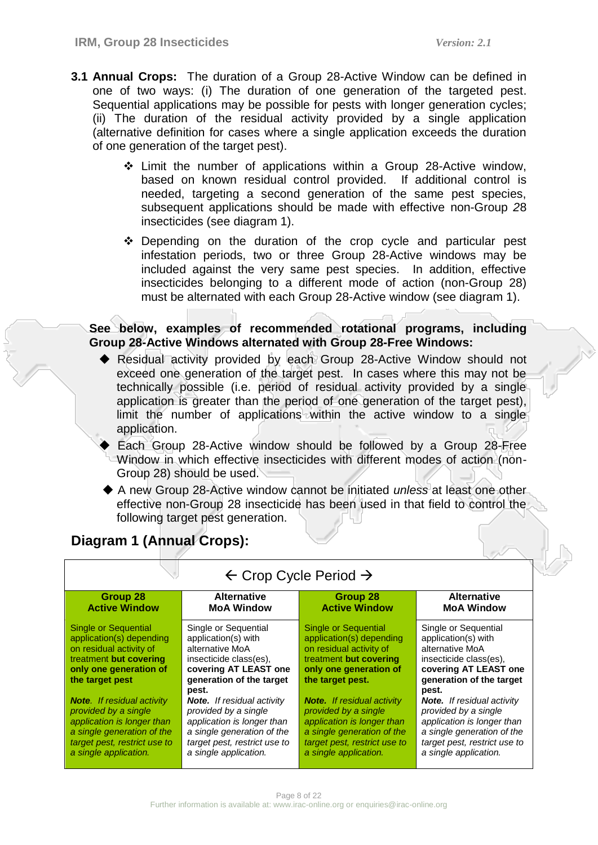- **3.1 Annual Crops:** The duration of a Group 28-Active Window can be defined in one of two ways: (i) The duration of one generation of the targeted pest. Sequential applications may be possible for pests with longer generation cycles; (ii) The duration of the residual activity provided by a single application (alternative definition for cases where a single application exceeds the duration of one generation of the target pest).
	- $\div$  Limit the number of applications within a Group 28-Active window, based on known residual control provided. If additional control is needed, targeting a second generation of the same pest species, subsequent applications should be made with effective non-Group *2*8 insecticides (see diagram 1).
	- $\div$  Depending on the duration of the crop cycle and particular pest infestation periods, two or three Group 28-Active windows may be included against the very same pest species. In addition, effective insecticides belonging to a different mode of action (non-Group 28) must be alternated with each Group 28-Active window (see diagram 1).

### **See below, examples of recommended rotational programs, including Group 28-Active Windows alternated with Group 28-Free Windows:**

- ◆ Residual activity provided by each Group 28-Active Window should not exceed one generation of the target pest. In cases where this may not be technically possible (i.e. period of residual activity provided by a single application is greater than the period of one generation of the target pest), limit the number of applications within the active window to a single application.
- Each Group 28-Active window should be followed by a Group 28-Free Window in which effective insecticides with different modes of action (non-Group 28) should be used.
- A new Group 28-Active window cannot be initiated *unless* at least one other effective non-Group 28 insecticide has been used in that field to control the following target pest generation.

## **Diagram 1 (Annual Crops):**

| Group 28<br><b>Active Window</b>                                                                                                                                               | <b>Alternative</b><br><b>MoA Window</b>                                                                                                                                                 | $\tau$ vitro $\tau$ of $\tau$ of $\tau$ and $\tau$<br>Group 28<br><b>Active Window</b>                                                                                         | <b>Alternative</b><br><b>MoA Window</b>                                                                                                                                                 |
|--------------------------------------------------------------------------------------------------------------------------------------------------------------------------------|-----------------------------------------------------------------------------------------------------------------------------------------------------------------------------------------|--------------------------------------------------------------------------------------------------------------------------------------------------------------------------------|-----------------------------------------------------------------------------------------------------------------------------------------------------------------------------------------|
| <b>Single or Sequential</b><br>application(s) depending<br>on residual activity of<br>treatment but covering<br>only one generation of<br>the target pest                      | Single or Sequential<br>application(s) with<br>alternative MoA<br>insecticide class(es),<br>covering AT LEAST one<br>generation of the target                                           | <b>Single or Sequential</b><br>application(s) depending<br>on residual activity of<br>treatment but covering<br>only one generation of<br>the target pest.                     | Single or Sequential<br>application(s) with<br>alternative MoA<br>insecticide class(es),<br>covering AT LEAST one<br>generation of the target                                           |
| <b>Note.</b> If residual activity<br>provided by a single<br>application is longer than<br>a single generation of the<br>target pest, restrict use to<br>a single application. | pest.<br><b>Note.</b> If residual activity<br>provided by a single<br>application is longer than<br>a single generation of the<br>target pest, restrict use to<br>a single application. | <b>Note.</b> If residual activity<br>provided by a single<br>application is longer than<br>a single generation of the<br>target pest, restrict use to<br>a single application. | pest.<br><b>Note.</b> If residual activity<br>provided by a single<br>application is longer than<br>a single generation of the<br>target pest, restrict use to<br>a single application. |

## $\leftarrow$  Crop Cycle Period  $\rightarrow$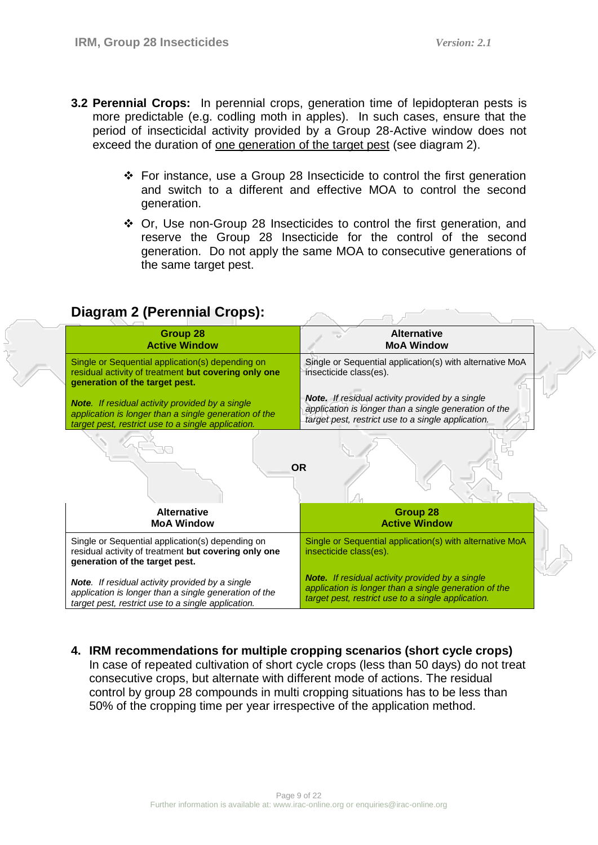- **3.2 Perennial Crops:** In perennial crops, generation time of lepidopteran pests is more predictable (e.g. codling moth in apples). In such cases, ensure that the period of insecticidal activity provided by a Group 28-Active window does not exceed the duration of one generation of the target pest (see diagram 2).
	- $\div$  For instance, use a Group 28 Insecticide to control the first generation and switch to a different and effective MOA to control the second generation.
	- Or, Use non-Group 28 Insecticides to control the first generation, and reserve the Group 28 Insecticide for the control of the second generation. Do not apply the same MOA to consecutive generations of the same target pest.

| Group 28<br><b>Active Window</b>                                                                                                                                      | <b>Alternative</b><br><b>MoA Window</b>                                                                                                                               |
|-----------------------------------------------------------------------------------------------------------------------------------------------------------------------|-----------------------------------------------------------------------------------------------------------------------------------------------------------------------|
| Single or Sequential application(s) depending on<br>residual activity of treatment but covering only one<br>generation of the target pest.                            | Single or Sequential application(s) with alternative MoA<br>insecticide class(es).                                                                                    |
| <b>Note.</b> If residual activity provided by a single<br>application is longer than a single generation of the<br>target pest, restrict use to a single application. | <b>Note.</b> If residual activity provided by a single<br>application is longer than a single generation of the<br>target pest, restrict use to a single application. |
|                                                                                                                                                                       |                                                                                                                                                                       |
|                                                                                                                                                                       | <b>OR</b>                                                                                                                                                             |
| <b>Alternative</b><br><b>MoA Window</b>                                                                                                                               | Group 28<br><b>Active Window</b>                                                                                                                                      |
| Single or Sequential application(s) depending on<br>residual activity of treatment but covering only one<br>generation of the target pest.                            | Single or Sequential application(s) with alternative MoA<br>insecticide class(es).                                                                                    |

## **Diagram 2 (Perennial Crops):**

**4. IRM recommendations for multiple cropping scenarios (short cycle crops)**

In case of repeated cultivation of short cycle crops (less than 50 days) do not treat consecutive crops, but alternate with different mode of actions. The residual control by group 28 compounds in multi cropping situations has to be less than 50% of the cropping time per year irrespective of the application method.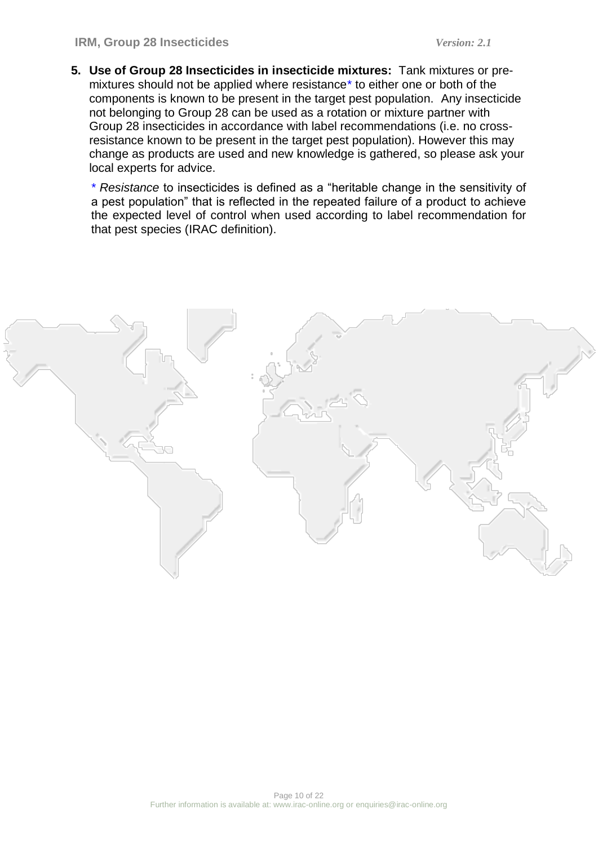**5. Use of Group 28 Insecticides in insecticide mixtures:** Tank mixtures or premixtures should not be applied where resistance\* to either one or both of the components is known to be present in the target pest population. Any insecticide not belonging to Group 28 can be used as a rotation or mixture partner with Group 28 insecticides in accordance with label recommendations (i.e. no crossresistance known to be present in the target pest population). However this may change as products are used and new knowledge is gathered, so please ask your local experts for advice.

*\* Resistance* to insecticides is defined as a "heritable change in the sensitivity of a pest population" that is reflected in the repeated failure of a product to achieve the expected level of control when used according to label recommendation for that pest species (IRAC definition).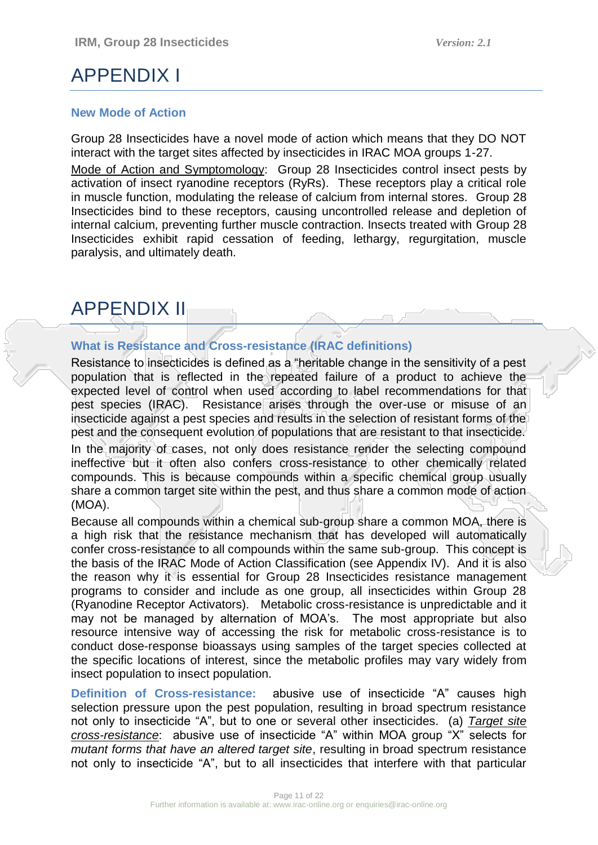## APPENDIX I

#### **New Mode of Action**

Group 28 Insecticides have a novel mode of action which means that they DO NOT interact with the target sites affected by insecticides in IRAC MOA groups 1-27.

Mode of Action and Symptomology:Group 28 Insecticides control insect pests by activation of insect ryanodine receptors (RyRs). These receptors play a critical role in muscle function, modulating the release of calcium from internal stores. Group 28 Insecticides bind to these receptors, causing uncontrolled release and depletion of internal calcium, preventing further muscle contraction. Insects treated with Group 28 Insecticides exhibit rapid cessation of feeding, lethargy, regurgitation, muscle paralysis, and ultimately death.

## APPENDIX II

### **What is Resistance and Cross-resistance (IRAC definitions)**

Resistance to insecticides is defined as a "heritable change in the sensitivity of a pest population that is reflected in the repeated failure of a product to achieve the expected level of control when used according to label recommendations for that pest species (IRAC). Resistance arises through the over-use or misuse of an insecticide against a pest species and results in the selection of resistant forms of the pest and the consequent evolution of populations that are resistant to that insecticide.

In the majority of cases, not only does resistance render the selecting compound ineffective but it often also confers cross-resistance to other chemically related compounds. This is because compounds within a specific chemical group usually share a common target site within the pest, and thus share a common mode of action (MOA).

Because all compounds within a chemical sub-group share a common MOA, there is a high risk that the resistance mechanism that has developed will automatically confer cross-resistance to all compounds within the same sub-group. This concept is the basis of the IRAC Mode of Action Classification (see Appendix IV). And it is also the reason why it is essential for Group 28 Insecticides resistance management programs to consider and include as one group, all insecticides within Group 28 (Ryanodine Receptor Activators). Metabolic cross-resistance is unpredictable and it may not be managed by alternation of MOA"s. The most appropriate but also resource intensive way of accessing the risk for metabolic cross-resistance is to conduct dose-response bioassays using samples of the target species collected at the specific locations of interest, since the metabolic profiles may vary widely from insect population to insect population.

**Definition of Cross-resistance:** abusive use of insecticide "A" causes high selection pressure upon the pest population, resulting in broad spectrum resistance not only to insecticide "A", but to one or several other insecticides. (a) *Target site cross-resistance*: abusive use of insecticide "A" within MOA group "X" selects for *mutant forms that have an altered target site*, resulting in broad spectrum resistance not only to insecticide "A", but to all insecticides that interfere with that particular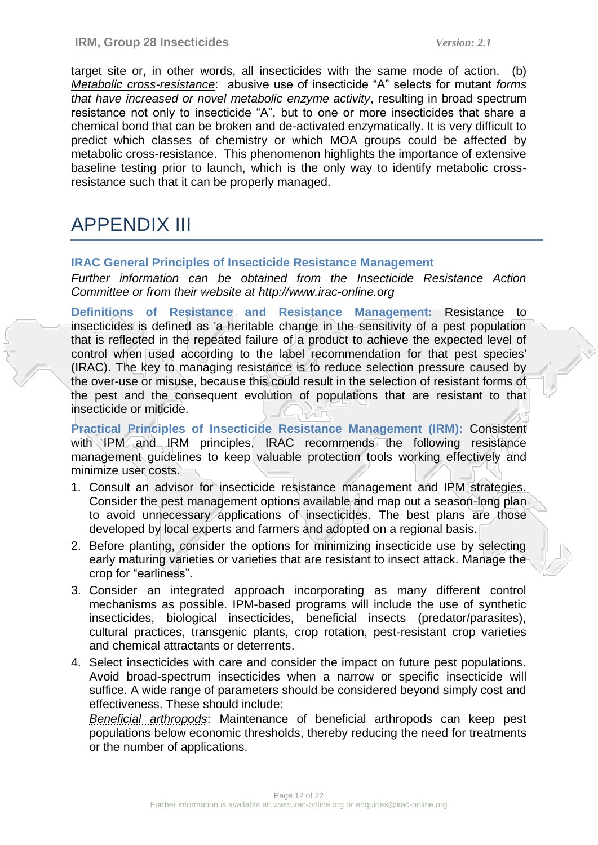target site or, in other words, all insecticides with the same mode of action. (b) *Metabolic cross-resistance*: abusive use of insecticide "A" selects for mutant *forms that have increased or novel metabolic enzyme activity*, resulting in broad spectrum resistance not only to insecticide "A", but to one or more insecticides that share a chemical bond that can be broken and de-activated enzymatically. It is very difficult to predict which classes of chemistry or which MOA groups could be affected by metabolic cross-resistance. This phenomenon highlights the importance of extensive baseline testing prior to launch, which is the only way to identify metabolic crossresistance such that it can be properly managed.

## APPENDIX III

#### **IRAC General Principles of Insecticide Resistance Management**

*Further information can be obtained from the Insecticide Resistance Action Committee or from their website at http://www.irac-online.org*

**Definitions of Resistance and Resistance Management:** Resistance to insecticides is defined as 'a heritable change in the sensitivity of a pest population that is reflected in the repeated failure of a product to achieve the expected level of control when used according to the label recommendation for that pest species' (IRAC). The key to managing resistance is to reduce selection pressure caused by the over-use or misuse, because this could result in the selection of resistant forms of the pest and the consequent evolution of populations that are resistant to that insecticide or miticide.

**Practical Principles of Insecticide Resistance Management (IRM):** Consistent with IPM and IRM principles, IRAC recommends the following resistance management guidelines to keep valuable protection tools working effectively and minimize user costs.

- 1. Consult an advisor for insecticide resistance management and IPM strategies. Consider the pest management options available and map out a season-long plan to avoid unnecessary applications of insecticides. The best plans are those developed by local experts and farmers and adopted on a regional basis.
- 2. Before planting, consider the options for minimizing insecticide use by selecting early maturing varieties or varieties that are resistant to insect attack. Manage the crop for "earliness".
- 3. Consider an integrated approach incorporating as many different control mechanisms as possible. IPM-based programs will include the use of synthetic insecticides, biological insecticides, beneficial insects (predator/parasites), cultural practices, transgenic plants, crop rotation, pest-resistant crop varieties and chemical attractants or deterrents.
- 4. Select insecticides with care and consider the impact on future pest populations. Avoid broad-spectrum insecticides when a narrow or specific insecticide will suffice. A wide range of parameters should be considered beyond simply cost and effectiveness. These should include:

*Beneficial arthropods*: Maintenance of beneficial arthropods can keep pest populations below economic thresholds, thereby reducing the need for treatments or the number of applications.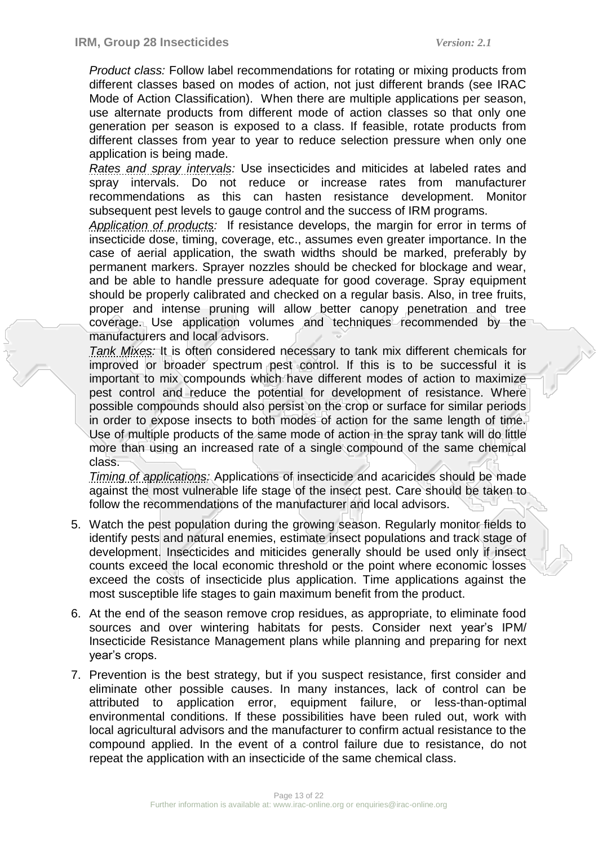*Product class:* Follow label recommendations for rotating or mixing products from different classes based on modes of action, not just different brands (see IRAC Mode of Action Classification). When there are multiple applications per season, use alternate products from different mode of action classes so that only one generation per season is exposed to a class. If feasible, rotate products from different classes from year to year to reduce selection pressure when only one application is being made.

*Rates and spray intervals:* Use insecticides and miticides at labeled rates and spray intervals. Do not reduce or increase rates from manufacturer recommendations as this can hasten resistance development. Monitor subsequent pest levels to gauge control and the success of IRM programs.

*Application of products:* If resistance develops, the margin for error in terms of insecticide dose, timing, coverage, etc., assumes even greater importance. In the case of aerial application, the swath widths should be marked, preferably by permanent markers. Sprayer nozzles should be checked for blockage and wear, and be able to handle pressure adequate for good coverage. Spray equipment should be properly calibrated and checked on a regular basis. Also, in tree fruits, proper and intense pruning will allow better canopy penetration and tree coverage. Use application volumes and techniques recommended by the manufacturers and local advisors.

*Tank Mixes:* It is often considered necessary to tank mix different chemicals for improved or broader spectrum pest control. If this is to be successful it is important to mix compounds which have different modes of action to maximize pest control and reduce the potential for development of resistance. Where possible compounds should also persist on the crop or surface for similar periods in order to expose insects to both modes of action for the same length of time. Use of multiple products of the same mode of action in the spray tank will do little more than using an increased rate of a single compound of the same chemical class.

*Timing of applications:* Applications of insecticide and acaricides should be made against the most vulnerable life stage of the insect pest. Care should be taken to follow the recommendations of the manufacturer and local advisors.

- 5. Watch the pest population during the growing season. Regularly monitor fields to identify pests and natural enemies, estimate insect populations and track stage of development. Insecticides and miticides generally should be used only if insect counts exceed the local economic threshold or the point where economic losses exceed the costs of insecticide plus application. Time applications against the most susceptible life stages to gain maximum benefit from the product.
- 6. At the end of the season remove crop residues, as appropriate, to eliminate food sources and over wintering habitats for pests. Consider next year"s IPM/ Insecticide Resistance Management plans while planning and preparing for next year"s crops.
- 7. Prevention is the best strategy, but if you suspect resistance, first consider and eliminate other possible causes. In many instances, lack of control can be attributed to application error, equipment failure, or less-than-optimal environmental conditions. If these possibilities have been ruled out, work with local agricultural advisors and the manufacturer to confirm actual resistance to the compound applied. In the event of a control failure due to resistance, do not repeat the application with an insecticide of the same chemical class.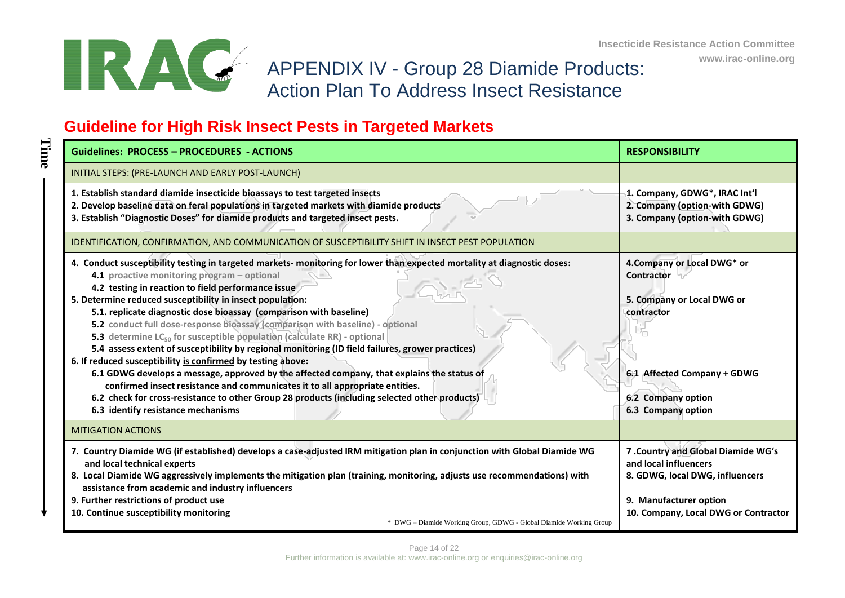

**Time**

**www.irac-online.org**

## APPENDIX IV - Group 28 Diamide Products: Action Plan To Address Insect Resistance

# **Guideline for High Risk Insect Pests in Targeted Markets**

| <b>Guidelines: PROCESS - PROCEDURES - ACTIONS</b>                                                                                                                                                                                                                                                                                                                                                                                                                                                                                                                                                                                                                                                                                                                                                                                                                                                                                                                                                                               | <b>RESPONSIBILITY</b>                                                                                                                                            |
|---------------------------------------------------------------------------------------------------------------------------------------------------------------------------------------------------------------------------------------------------------------------------------------------------------------------------------------------------------------------------------------------------------------------------------------------------------------------------------------------------------------------------------------------------------------------------------------------------------------------------------------------------------------------------------------------------------------------------------------------------------------------------------------------------------------------------------------------------------------------------------------------------------------------------------------------------------------------------------------------------------------------------------|------------------------------------------------------------------------------------------------------------------------------------------------------------------|
| INITIAL STEPS: (PRE-LAUNCH AND EARLY POST-LAUNCH)                                                                                                                                                                                                                                                                                                                                                                                                                                                                                                                                                                                                                                                                                                                                                                                                                                                                                                                                                                               |                                                                                                                                                                  |
| 1. Establish standard diamide insecticide bioassays to test targeted insects<br>2. Develop baseline data on feral populations in targeted markets with diamide products<br>3. Establish "Diagnostic Doses" for diamide products and targeted insect pests.                                                                                                                                                                                                                                                                                                                                                                                                                                                                                                                                                                                                                                                                                                                                                                      | 1. Company, GDWG*, IRAC Int'l<br>2. Company (option-with GDWG)<br>3. Company (option-with GDWG)                                                                  |
| IDENTIFICATION, CONFIRMATION, AND COMMUNICATION OF SUSCEPTIBILITY SHIFT IN INSECT PEST POPULATION                                                                                                                                                                                                                                                                                                                                                                                                                                                                                                                                                                                                                                                                                                                                                                                                                                                                                                                               |                                                                                                                                                                  |
| 4. Conduct susceptibility testing in targeted markets-monitoring for lower than expected mortality at diagnostic doses:<br>4.1 proactive monitoring program - optional<br>4.2 testing in reaction to field performance issue<br>5. Determine reduced susceptibility in insect population:<br>5.1. replicate diagnostic dose bioassay (comparison with baseline)<br>5.2 conduct full dose-response bioassay (comparison with baseline) - optional<br>5.3 determine LC <sub>50</sub> for susceptible population (calculate RR) - optional<br>5.4 assess extent of susceptibility by regional monitoring (ID field failures, grower practices)<br>6. If reduced susceptibility is confirmed by testing above:<br>6.1 GDWG develops a message, approved by the affected company, that explains the status of<br>confirmed insect resistance and communicates it to all appropriate entities.<br>6.2 check for cross-resistance to other Group 28 products (including selected other products)<br>6.3 identify resistance mechanisms | 4. Company or Local DWG* or<br>Contractor<br>5. Company or Local DWG or<br>contractor<br>6.1 Affected Company + GDWG<br>6.2 Company option<br>6.3 Company option |
| <b>MITIGATION ACTIONS</b>                                                                                                                                                                                                                                                                                                                                                                                                                                                                                                                                                                                                                                                                                                                                                                                                                                                                                                                                                                                                       |                                                                                                                                                                  |
| 7. Country Diamide WG (if established) develops a case-adjusted IRM mitigation plan in conjunction with Global Diamide WG<br>and local technical experts<br>8. Local Diamide WG aggressively implements the mitigation plan (training, monitoring, adjusts use recommendations) with<br>assistance from academic and industry influencers<br>9. Further restrictions of product use<br>10. Continue susceptibility monitoring<br>* DWG - Diamide Working Group, GDWG - Global Diamide Working Group                                                                                                                                                                                                                                                                                                                                                                                                                                                                                                                             | 7 .Country and Global Diamide WG's<br>and local influencers<br>8. GDWG, local DWG, influencers<br>9. Manufacturer option<br>10. Company, Local DWG or Contractor |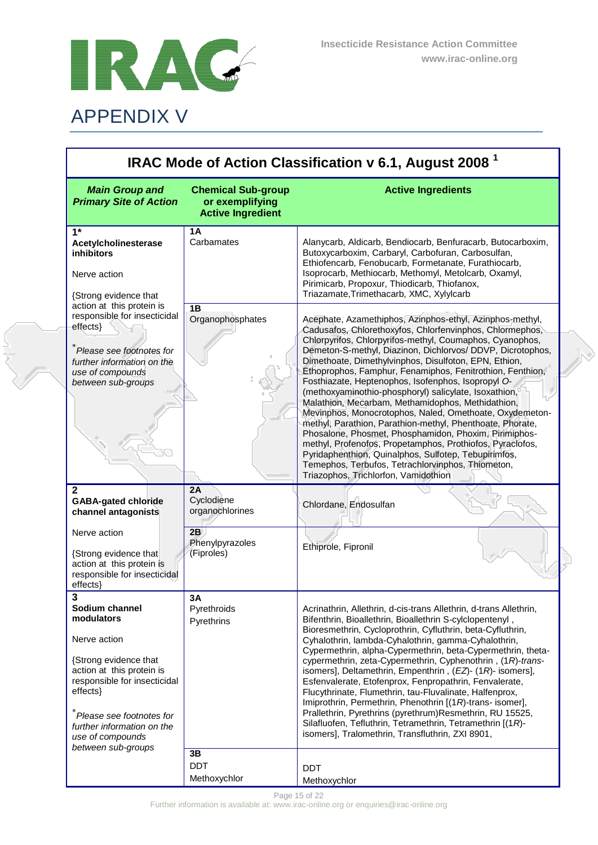

a<br>Salah

| IRAC Mode of Action Classification v 6.1, August 2008 <sup>1</sup>                                                                                                                                                                                      |                                                                          |                                                                                                                                                                                                                                                                                                                                                                                                                                                                                                                                                                                                                                                                                                                                                                                                                                                                                                                                             |
|---------------------------------------------------------------------------------------------------------------------------------------------------------------------------------------------------------------------------------------------------------|--------------------------------------------------------------------------|---------------------------------------------------------------------------------------------------------------------------------------------------------------------------------------------------------------------------------------------------------------------------------------------------------------------------------------------------------------------------------------------------------------------------------------------------------------------------------------------------------------------------------------------------------------------------------------------------------------------------------------------------------------------------------------------------------------------------------------------------------------------------------------------------------------------------------------------------------------------------------------------------------------------------------------------|
| <b>Main Group and</b><br><b>Primary Site of Action</b>                                                                                                                                                                                                  | <b>Chemical Sub-group</b><br>or exemplifying<br><b>Active Ingredient</b> | <b>Active Ingredients</b>                                                                                                                                                                                                                                                                                                                                                                                                                                                                                                                                                                                                                                                                                                                                                                                                                                                                                                                   |
| $1*$<br>Acetylcholinesterase<br><b>inhibitors</b><br>Nerve action<br>{Strong evidence that                                                                                                                                                              | 1A<br>Carbamates                                                         | Alanycarb, Aldicarb, Bendiocarb, Benfuracarb, Butocarboxim,<br>Butoxycarboxim, Carbaryl, Carbofuran, Carbosulfan,<br>Ethiofencarb, Fenobucarb, Formetanate, Furathiocarb,<br>Isoprocarb, Methiocarb, Methomyl, Metolcarb, Oxamyl,<br>Pirimicarb, Propoxur, Thiodicarb, Thiofanox,<br>Triazamate, Trimethacarb, XMC, Xylylcarb                                                                                                                                                                                                                                                                                                                                                                                                                                                                                                                                                                                                               |
| action at this protein is<br>responsible for insecticidal<br>effects}<br>Please see footnotes for<br>further information on the<br>use of compounds<br>between sub-groups                                                                               | 1B<br>Organophosphates                                                   | Acephate, Azamethiphos, Azinphos-ethyl, Azinphos-methyl,<br>Cadusafos, Chlorethoxyfos, Chlorfenvinphos, Chlormephos,<br>Chlorpyrifos, Chlorpyrifos-methyl, Coumaphos, Cyanophos,<br>Demeton-S-methyl, Diazinon, Dichlorvos/ DDVP, Dicrotophos,<br>Dimethoate, Dimethylvinphos, Disulfoton, EPN, Ethion,<br>Ethoprophos, Famphur, Fenamiphos, Fenitrothion, Fenthion,<br>Fosthiazate, Heptenophos, Isofenphos, Isopropyl O-<br>(methoxyaminothio-phosphoryl) salicylate, Isoxathion,<br>Malathion, Mecarbam, Methamidophos, Methidathion,<br>Mevinphos, Monocrotophos, Naled, Omethoate, Oxydemeton-<br>methyl, Parathion, Parathion-methyl, Phenthoate, Phorate,<br>Phosalone, Phosmet, Phosphamidon, Phoxim, Pirimiphos-<br>methyl, Profenofos, Propetamphos, Prothiofos, Pyraclofos,<br>Pyridaphenthion, Quinalphos, Sulfotep, Tebupirimfos,<br>Temephos, Terbufos, Tetrachlorvinphos, Thiometon,<br>Triazophos, Trichlorfon, Vamidothion |
| $\mathbf{2}$<br><b>GABA-gated chloride</b><br>channel antagonists                                                                                                                                                                                       | 2A<br>Cyclodiene<br>organochlorines                                      | Chlordane, Endosulfan                                                                                                                                                                                                                                                                                                                                                                                                                                                                                                                                                                                                                                                                                                                                                                                                                                                                                                                       |
| Nerve action<br>{Strong evidence that<br>action at this protein is<br>responsible for insecticidal<br>effects}                                                                                                                                          | 2B<br>Phenylpyrazoles<br>(Fiproles)                                      | Ethiprole, Fipronil                                                                                                                                                                                                                                                                                                                                                                                                                                                                                                                                                                                                                                                                                                                                                                                                                                                                                                                         |
| 2<br>Sodium channel<br>modulators<br>Nerve action<br>{Strong evidence that<br>action at this protein is<br>responsible for insecticidal<br>effects}<br>Please see footnotes for<br>further information on the<br>use of compounds<br>between sub-groups | 3A<br>Pyrethroids<br>Pyrethrins<br>3B                                    | Acrinathrin, Allethrin, d-cis-trans Allethrin, d-trans Allethrin,<br>Bifenthrin, Bioallethrin, Bioallethrin S-cylclopentenyl,<br>Bioresmethrin, Cycloprothrin, Cyfluthrin, beta-Cyfluthrin,<br>Cyhalothrin, lambda-Cyhalothrin, gamma-Cyhalothrin,<br>Cypermethrin, alpha-Cypermethrin, beta-Cypermethrin, theta-<br>cypermethrin, zeta-Cypermethrin, Cyphenothrin, (1R)-trans-<br>isomers], Deltamethrin, Empenthrin, (EZ)- (1R)- isomers],<br>Esfenvalerate, Etofenprox, Fenpropathrin, Fenvalerate,<br>Flucythrinate, Flumethrin, tau-Fluvalinate, Halfenprox,<br>Imiprothrin, Permethrin, Phenothrin [(1R)-trans- isomer],<br>Prallethrin, Pyrethrins (pyrethrum)Resmethrin, RU 15525,<br>Silafluofen, Tefluthrin, Tetramethrin, Tetramethrin [(1R)-<br>isomers], Tralomethrin, Transfluthrin, ZXI 8901,                                                                                                                                |
|                                                                                                                                                                                                                                                         | <b>DDT</b><br>Methoxychlor                                               | <b>DDT</b><br>Methoxychlor                                                                                                                                                                                                                                                                                                                                                                                                                                                                                                                                                                                                                                                                                                                                                                                                                                                                                                                  |

Page 15 of 22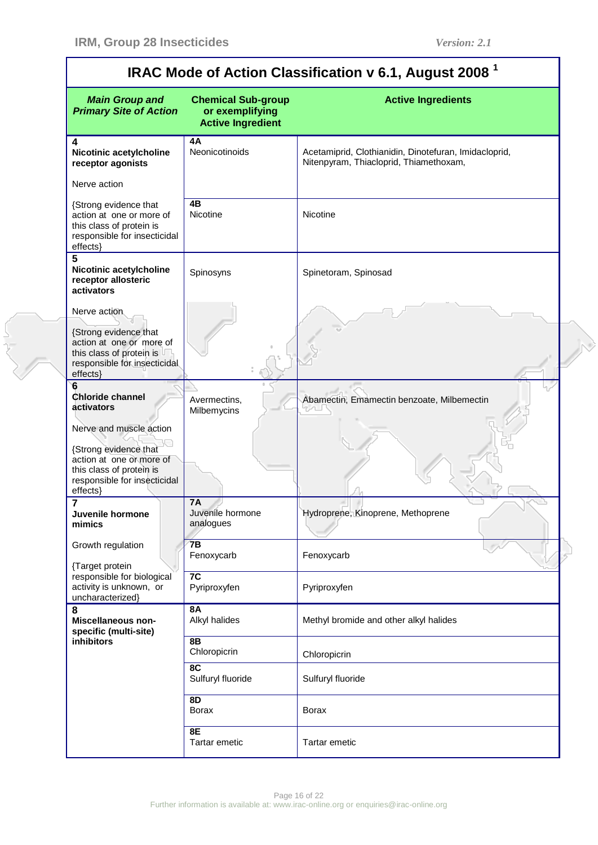$\mathbf{r}$ 

er<br>Se

٦

| IRAC Mode of Action Classification v 6.1, August 2008 <sup>1</sup>                                                                                   |                                                                          |                                                                                                 |
|------------------------------------------------------------------------------------------------------------------------------------------------------|--------------------------------------------------------------------------|-------------------------------------------------------------------------------------------------|
| <b>Main Group and</b><br><b>Primary Site of Action</b>                                                                                               | <b>Chemical Sub-group</b><br>or exemplifying<br><b>Active Ingredient</b> | <b>Active Ingredients</b>                                                                       |
| 4<br>Nicotinic acetylcholine<br>receptor agonists                                                                                                    | 4A<br>Neonicotinoids                                                     | Acetamiprid, Clothianidin, Dinotefuran, Imidacloprid,<br>Nitenpyram, Thiacloprid, Thiamethoxam, |
| Nerve action                                                                                                                                         |                                                                          |                                                                                                 |
| {Strong evidence that<br>action at one or more of<br>this class of protein is<br>responsible for insecticidal<br>effects}                            | 4B<br>Nicotine                                                           | Nicotine                                                                                        |
| 5<br>Nicotinic acetylcholine<br>receptor allosteric<br>activators                                                                                    | Spinosyns                                                                | Spinetoram, Spinosad                                                                            |
| Nerve action                                                                                                                                         |                                                                          |                                                                                                 |
| {Strong evidence that<br>action at one or more of<br>this class of protein is<br>responsible for insecticidal<br>effects}                            |                                                                          |                                                                                                 |
| 6<br><b>Chloride channel</b><br>activators                                                                                                           | Avermectins,<br>Milbemycins                                              | Abamectin, Emamectin benzoate, Milbemectin                                                      |
| Nerve and muscle action<br>{Strong evidence that<br>action at one or more of<br>this class of protein is<br>responsible for insecticidal<br>effects} |                                                                          |                                                                                                 |
| 7<br>Juvenile hormone<br>mimics                                                                                                                      | <b>7A</b><br>Juvenile hormone<br>analogues                               | Hydroprene, Kinoprene, Methoprene                                                               |
| Growth regulation                                                                                                                                    | 7B<br>Fenoxycarb                                                         | Fenoxycarb                                                                                      |
| {Target protein<br>responsible for biological<br>activity is unknown, or<br>uncharacterized}                                                         | 7C<br>Pyriproxyfen                                                       | Pyriproxyfen                                                                                    |
| 8<br>Miscellaneous non-<br>specific (multi-site)                                                                                                     | <b>8A</b><br>Alkyl halides                                               | Methyl bromide and other alkyl halides                                                          |
| inhibitors                                                                                                                                           | 8B<br>Chloropicrin                                                       | Chloropicrin                                                                                    |
|                                                                                                                                                      | 8C<br>Sulfuryl fluoride                                                  | Sulfuryl fluoride                                                                               |
|                                                                                                                                                      | 8D<br><b>Borax</b>                                                       | <b>Borax</b>                                                                                    |
|                                                                                                                                                      | <b>8E</b><br><b>Tartar emetic</b>                                        | Tartar emetic                                                                                   |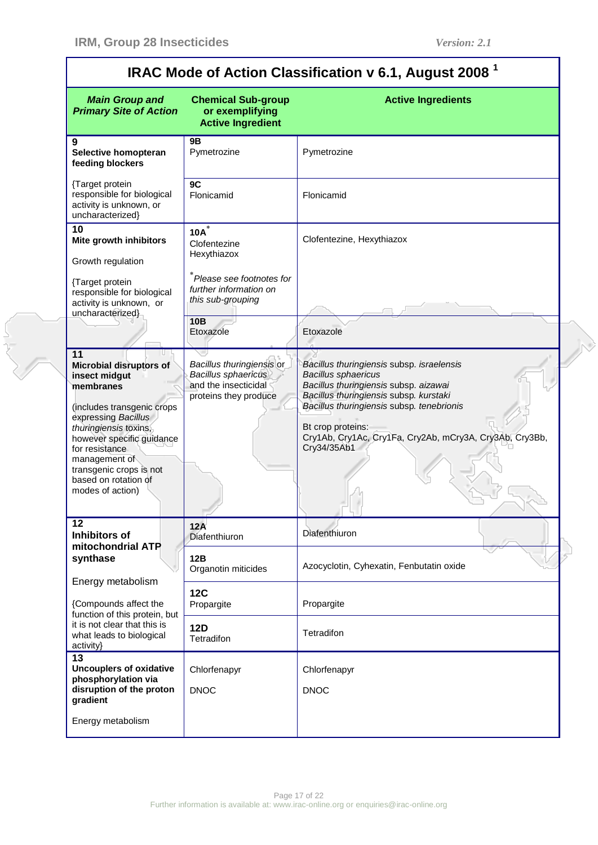| IRAC Mode of Action Classification v 6.1, August 2008 $^1$                                                                                                                                                                                                                              |                                                                                                          |                                                                                                                                                                                                                                                                                                        |
|-----------------------------------------------------------------------------------------------------------------------------------------------------------------------------------------------------------------------------------------------------------------------------------------|----------------------------------------------------------------------------------------------------------|--------------------------------------------------------------------------------------------------------------------------------------------------------------------------------------------------------------------------------------------------------------------------------------------------------|
| <b>Main Group and</b><br><b>Primary Site of Action</b>                                                                                                                                                                                                                                  | <b>Chemical Sub-group</b><br>or exemplifying<br><b>Active Ingredient</b>                                 | <b>Active Ingredients</b>                                                                                                                                                                                                                                                                              |
| 9<br>Selective homopteran<br>feeding blockers                                                                                                                                                                                                                                           | 9Β<br>Pymetrozine                                                                                        | Pymetrozine                                                                                                                                                                                                                                                                                            |
| {Target protein<br>responsible for biological<br>activity is unknown, or<br>uncharacterized}                                                                                                                                                                                            | 9C<br>Flonicamid                                                                                         | Flonicamid                                                                                                                                                                                                                                                                                             |
| 10<br>Mite growth inhibitors<br>Growth regulation<br>{Target protein<br>responsible for biological                                                                                                                                                                                      | $10A^*$<br>Clofentezine<br>Hexythiazox<br>*Please see footnotes for<br>further information on            | Clofentezine, Hexythiazox                                                                                                                                                                                                                                                                              |
| activity is unknown, or<br>uncharacterized}                                                                                                                                                                                                                                             | this sub-grouping<br>10B<br>Etoxazole                                                                    | Etoxazole                                                                                                                                                                                                                                                                                              |
| 11<br><b>Microbial disruptors of</b><br>insect midgut<br>membranes<br>(includes transgenic crops<br>expressing Bacillus<br>thuringiensis toxins,<br>however specific guidance<br>for resistance<br>management of<br>transgenic crops is not<br>based on rotation of<br>modes of action) | Bacillus thuringiensis or<br><b>Bacillus sphaericus</b><br>and the insecticidal<br>proteins they produce | Bacillus thuringiensis subsp. israelensis<br><b>Bacillus sphaericus</b><br>Bacillus thuringiensis subsp. aizawai<br>Bacillus thuringiensis subsp. kurstaki<br>Bacillus thuringiensis subsp. tenebrionis<br>Bt crop proteins:<br>Cry1Ab, Cry1Ac, Cry1Fa, Cry2Ab, mCry3A, Cry3Ab, Cry3Bb,<br>Cry34/35Ab1 |
| $\overline{12}$<br><b>Inhibitors of</b>                                                                                                                                                                                                                                                 | 12A<br>Diafenthiuron                                                                                     | Diafenthiuron                                                                                                                                                                                                                                                                                          |
| mitochondrial ATP<br>synthase                                                                                                                                                                                                                                                           | 12B<br>Organotin miticides                                                                               | Azocyclotin, Cyhexatin, Fenbutatin oxide                                                                                                                                                                                                                                                               |
| Energy metabolism<br>{Compounds affect the<br>function of this protein, but                                                                                                                                                                                                             | <b>12C</b><br>Propargite                                                                                 | Propargite                                                                                                                                                                                                                                                                                             |
| it is not clear that this is<br>what leads to biological<br>activity}                                                                                                                                                                                                                   | <b>12D</b><br>Tetradifon                                                                                 | Tetradifon                                                                                                                                                                                                                                                                                             |
| 13<br><b>Uncouplers of oxidative</b><br>phosphorylation via<br>disruption of the proton<br>gradient                                                                                                                                                                                     | Chlorfenapyr<br><b>DNOC</b>                                                                              | Chlorfenapyr<br><b>DNOC</b>                                                                                                                                                                                                                                                                            |
| Energy metabolism                                                                                                                                                                                                                                                                       |                                                                                                          |                                                                                                                                                                                                                                                                                                        |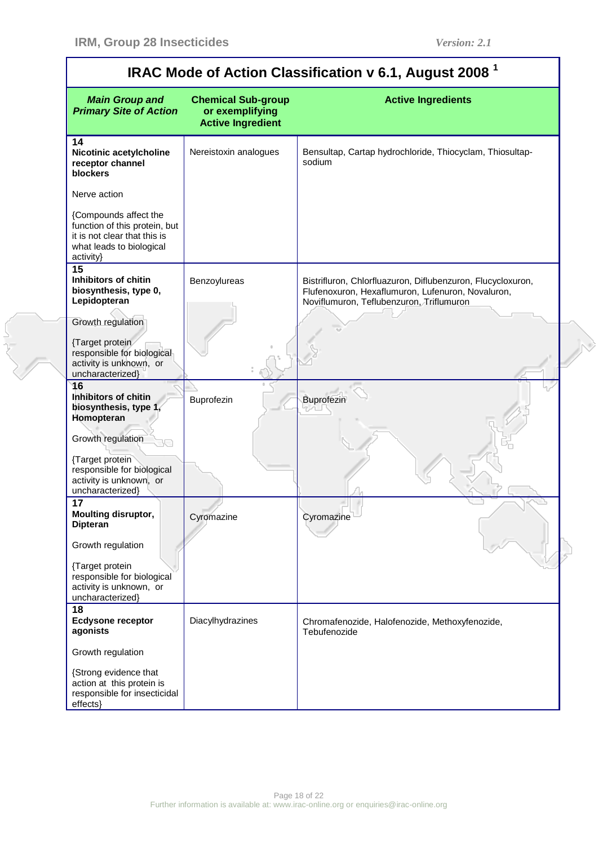an<br>San

| <b>Main Group and</b><br><b>Primary Site of Action</b>                                                                          | <b>Chemical Sub-group</b><br>or exemplifying<br><b>Active Ingredient</b> | <b>Active Ingredients</b>                                                                                                                                    |
|---------------------------------------------------------------------------------------------------------------------------------|--------------------------------------------------------------------------|--------------------------------------------------------------------------------------------------------------------------------------------------------------|
| 14<br>Nicotinic acetylcholine<br>receptor channel<br>blockers                                                                   | Nereistoxin analogues                                                    | Bensultap, Cartap hydrochloride, Thiocyclam, Thiosultap-<br>sodium                                                                                           |
| Nerve action                                                                                                                    |                                                                          |                                                                                                                                                              |
| {Compounds affect the<br>function of this protein, but<br>it is not clear that this is<br>what leads to biological<br>activity} |                                                                          |                                                                                                                                                              |
| $\overline{15}$<br>Inhibitors of chitin<br>biosynthesis, type 0,<br>Lepidopteran                                                | Benzoylureas                                                             | Bistrifluron, Chlorfluazuron, Diflubenzuron, Flucycloxuron,<br>Flufenoxuron, Hexaflumuron, Lufenuron, Novaluron,<br>Noviflumuron, Teflubenzuron, Triflumuron |
| Growth regulation<br>{Target protein<br>responsible for biological<br>activity is unknown, or<br>uncharacterized}               |                                                                          |                                                                                                                                                              |
| 16<br>Inhibitors of chitin<br>biosynthesis, type 1,<br>Homopteran<br>Growth regulation                                          | Buprofezin                                                               | Buprofezin                                                                                                                                                   |
| {Target protein<br>responsible for biological<br>activity is unknown, or<br>uncharacterized}                                    |                                                                          |                                                                                                                                                              |
| 17<br><b>Moulting disruptor,</b><br><b>Dipteran</b>                                                                             | Cyromazine                                                               | Cyromazine                                                                                                                                                   |
| Growth regulation                                                                                                               |                                                                          |                                                                                                                                                              |
| {Target protein<br>responsible for biological<br>activity is unknown, or<br>uncharacterized}                                    |                                                                          |                                                                                                                                                              |
| 18<br><b>Ecdysone receptor</b><br>agonists                                                                                      | Diacylhydrazines                                                         | Chromafenozide, Halofenozide, Methoxyfenozide,<br>Tebufenozide                                                                                               |
| Growth regulation                                                                                                               |                                                                          |                                                                                                                                                              |
| {Strong evidence that<br>action at this protein is<br>responsible for insecticidal<br>effects}                                  |                                                                          |                                                                                                                                                              |

## **IRAC Mode of Action Classification v 6.1, August 2008 <sup>1</sup>**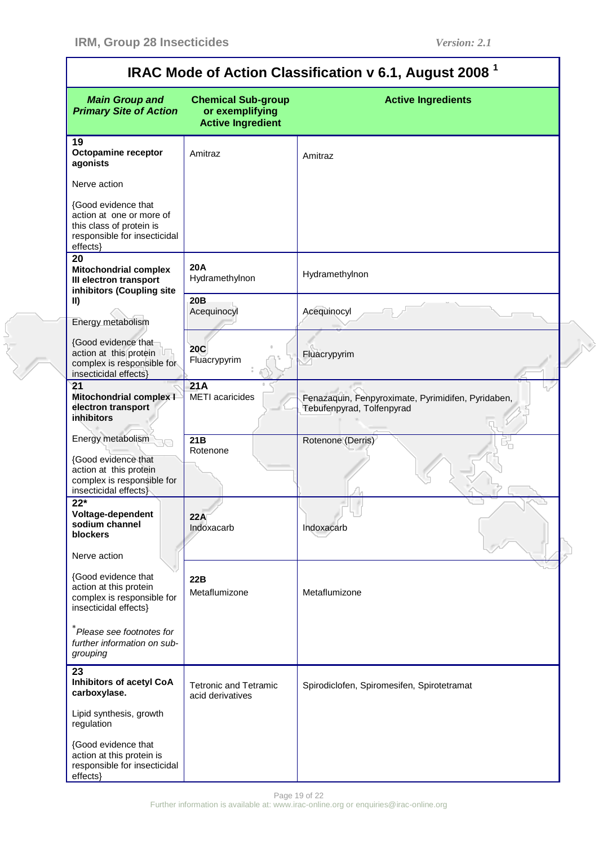$\overline{\mathsf{I}}$ 

e<br>San

| IRAC Mode of Action Classification v 6.1, August 2008                                                                     |                                                                          |                                                                                 |
|---------------------------------------------------------------------------------------------------------------------------|--------------------------------------------------------------------------|---------------------------------------------------------------------------------|
| <b>Main Group and</b><br><b>Primary Site of Action</b>                                                                    | <b>Chemical Sub-group</b><br>or exemplifying<br><b>Active Ingredient</b> | <b>Active Ingredients</b>                                                       |
| 19<br><b>Octopamine receptor</b><br>agonists                                                                              | Amitraz                                                                  | Amitraz                                                                         |
| Nerve action                                                                                                              |                                                                          |                                                                                 |
| {Good evidence that<br>action at one or more of<br>this class of protein is<br>responsible for insecticidal<br>effects}   |                                                                          |                                                                                 |
| 20<br><b>Mitochondrial complex</b><br>III electron transport<br>inhibitors (Coupling site                                 | 20A<br>Hydramethylnon                                                    | Hydramethylnon                                                                  |
| $\parallel$<br>Energy metabolism                                                                                          | 20 <sub>B</sub><br>Acequinocyl                                           | Acequinocyl                                                                     |
| {Good evidence that<br>action at this protein<br>complex is responsible for<br>insecticidal effects}                      | <b>20C</b><br>Fluacrypyrim                                               | Fluacrypyrim                                                                    |
| 21<br><b>Mitochondrial complex I</b><br>electron transport<br><b>inhibitors</b>                                           | 21A<br><b>METI</b> acaricides                                            | Fenazaquin, Fenpyroximate, Pyrimidifen, Pyridaben,<br>Tebufenpyrad, Tolfenpyrad |
| Energy metabolism<br>{Good evidence that<br>action at this protein<br>complex is responsible for<br>insecticidal effects} | $\overline{21B}$<br>Rotenone                                             | Rotenone (Derris)                                                               |
| $22*$<br>Voltage-dependent<br>sodium channel<br>blockers                                                                  | 22A<br>Indoxacarb                                                        | Indoxacarb                                                                      |
| Nerve action                                                                                                              |                                                                          |                                                                                 |
| {Good evidence that<br>action at this protein<br>complex is responsible for<br>insecticidal effects}                      | 22B<br>Metaflumizone                                                     | Metaflumizone                                                                   |
| Please see footnotes for<br>further information on sub-<br>grouping                                                       |                                                                          |                                                                                 |
| 23<br>Inhibitors of acetyl CoA<br>carboxylase.                                                                            | <b>Tetronic and Tetramic</b><br>acid derivatives                         | Spirodiclofen, Spiromesifen, Spirotetramat                                      |
| Lipid synthesis, growth<br>regulation                                                                                     |                                                                          |                                                                                 |
| {Good evidence that<br>action at this protein is<br>responsible for insecticidal<br>effects}                              |                                                                          |                                                                                 |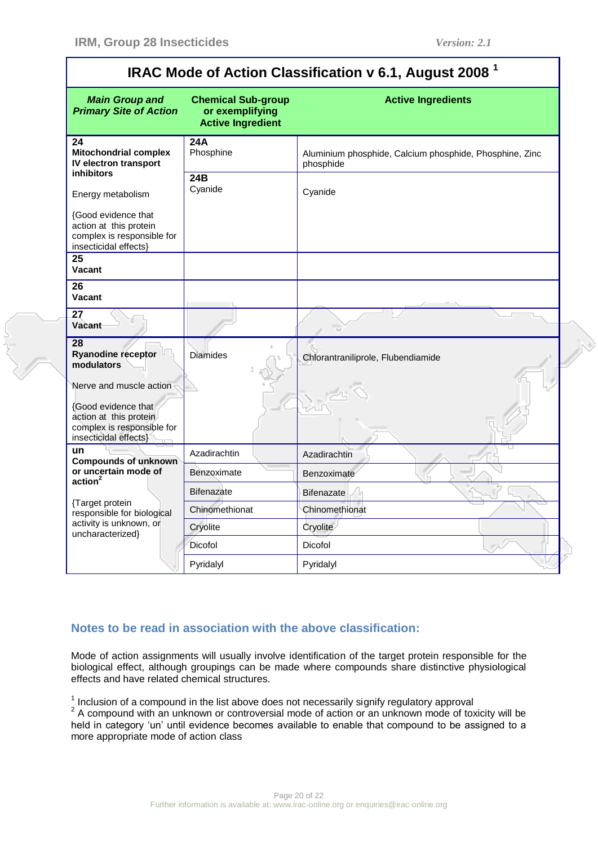| <b>MOUG OF ACTION CRESSING CITY 0.1, AUGUST 2000</b>                                                        |                                                                          |                                                                      |  |
|-------------------------------------------------------------------------------------------------------------|--------------------------------------------------------------------------|----------------------------------------------------------------------|--|
| <b>Main Group and</b><br><b>Primary Site of Action</b>                                                      | <b>Chemical Sub-group</b><br>or exemplifying<br><b>Active Ingredient</b> | <b>Active Ingredients</b>                                            |  |
| 24<br><b>Mitochondrial complex</b><br>IV electron transport<br><b>inhibitors</b>                            | 24A<br>Phosphine                                                         | Aluminium phosphide, Calcium phosphide, Phosphine, Zinc<br>phosphide |  |
| Energy metabolism                                                                                           | 24B<br>Cyanide                                                           | Cyanide                                                              |  |
| {Good evidence that<br>action at this protein<br>complex is responsible for<br>insecticidal effects}        |                                                                          |                                                                      |  |
| $\overline{25}$<br>Vacant                                                                                   |                                                                          |                                                                      |  |
| 26<br><b>Vacant</b>                                                                                         |                                                                          |                                                                      |  |
| $\overline{27}$<br><b>Vacant</b>                                                                            |                                                                          |                                                                      |  |
| 28<br><b>Ryanodine receptor</b><br>modulators                                                               | <b>Diamides</b>                                                          | Chlorantraniliprole, Flubendiamide                                   |  |
| Nerve and muscle action                                                                                     |                                                                          |                                                                      |  |
| <b>{Good evidence that</b><br>action at this protein<br>complex is responsible for<br>insecticidal effects} |                                                                          |                                                                      |  |
| un<br><b>Compounds of unknown</b>                                                                           | Azadirachtin                                                             | Azadirachtin                                                         |  |
| or uncertain mode of<br>action <sup>2</sup>                                                                 | Benzoximate                                                              | Benzoximate                                                          |  |
|                                                                                                             | <b>Bifenazate</b>                                                        | <b>Bifenazate</b>                                                    |  |
| {Target protein<br>responsible for biological                                                               | Chinomethionat                                                           | Chinomethionat                                                       |  |
| activity is unknown, or<br>uncharacterized}                                                                 | Cryolite                                                                 | Cryolite                                                             |  |
|                                                                                                             | Dicofol                                                                  | Dicofol                                                              |  |
|                                                                                                             | Pyridalyl                                                                | Pyridalyl                                                            |  |

## **IRAC Mode of Action Classification v 6.1, August 2008 <sup>1</sup>**

### **Notes to be read in association with the above classification:**

Mode of action assignments will usually involve identification of the target protein responsible for the biological effect, although groupings can be made where compounds share distinctive physiological effects and have related chemical structures.

 $1$  Inclusion of a compound in the list above does not necessarily signify regulatory approval

 $2$  A compound with an unknown or controversial mode of action or an unknown mode of toxicity will be held in category "un" until evidence becomes available to enable that compound to be assigned to a more appropriate mode of action class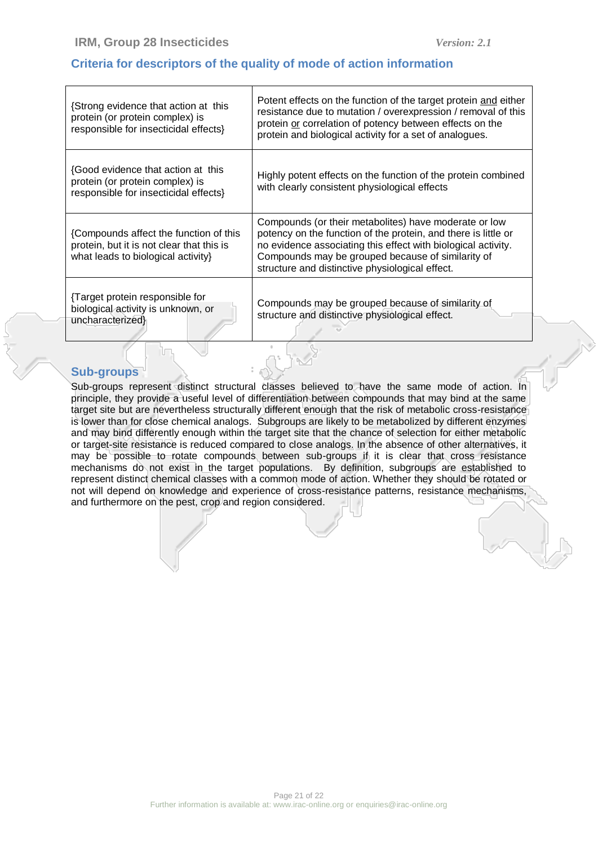### **Criteria for descriptors of the quality of mode of action information**

| {Strong evidence that action at this<br>protein (or protein complex) is<br>responsible for insecticidal effects}          | Potent effects on the function of the target protein and either<br>resistance due to mutation / overexpression / removal of this<br>protein or correlation of potency between effects on the<br>protein and biological activity for a set of analogues.                                          |
|---------------------------------------------------------------------------------------------------------------------------|--------------------------------------------------------------------------------------------------------------------------------------------------------------------------------------------------------------------------------------------------------------------------------------------------|
| {Good evidence that action at this<br>protein (or protein complex) is<br>responsible for insecticidal effects}            | Highly potent effects on the function of the protein combined<br>with clearly consistent physiological effects                                                                                                                                                                                   |
| {Compounds affect the function of this<br>protein, but it is not clear that this is<br>what leads to biological activity} | Compounds (or their metabolites) have moderate or low<br>potency on the function of the protein, and there is little or<br>no evidence associating this effect with biological activity.<br>Compounds may be grouped because of similarity of<br>structure and distinctive physiological effect. |
| Target protein responsible for<br>biological activity is unknown, or<br>uncharacterized}                                  | Compounds may be grouped because of similarity of<br>structure and distinctive physiological effect.                                                                                                                                                                                             |

#### **Sub-groups**

Sub-groups represent distinct structural classes believed to have the same mode of action. In principle, they provide a useful level of differentiation between compounds that may bind at the same target site but are nevertheless structurally different enough that the risk of metabolic cross-resistance is lower than for close chemical analogs. Subgroups are likely to be metabolized by different enzymes and may bind differently enough within the target site that the chance of selection for either metabolic or target-site resistance is reduced compared to close analogs. In the absence of other alternatives, it may be possible to rotate compounds between sub-groups if it is clear that cross resistance mechanisms do not exist in the target populations. By definition, subgroups are established to represent distinct chemical classes with a common mode of action. Whether they should be rotated or not will depend on knowledge and experience of cross-resistance patterns, resistance mechanisms, and furthermore on the pest, crop and region considered.